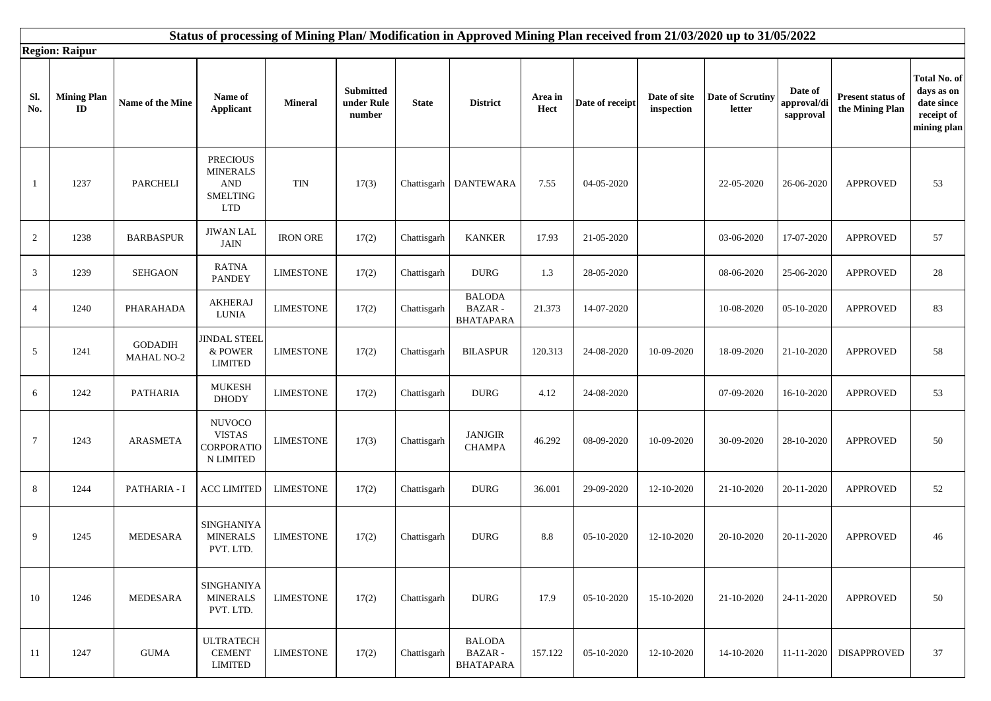|                | Status of processing of Mining Plan/Modification in Approved Mining Plan received from 21/03/2020 up to 31/05/2022 |                                     |                                                                                   |                  |                                          |              |                                                    |                 |                 |                            |                            |                                     |                                      |                                                                       |
|----------------|--------------------------------------------------------------------------------------------------------------------|-------------------------------------|-----------------------------------------------------------------------------------|------------------|------------------------------------------|--------------|----------------------------------------------------|-----------------|-----------------|----------------------------|----------------------------|-------------------------------------|--------------------------------------|-----------------------------------------------------------------------|
|                | <b>Region: Raipur</b>                                                                                              |                                     |                                                                                   |                  |                                          |              |                                                    |                 |                 |                            |                            |                                     |                                      |                                                                       |
| Sl.<br>No.     | <b>Mining Plan</b><br>ID                                                                                           | Name of the Mine                    | Name of<br><b>Applicant</b>                                                       | <b>Mineral</b>   | <b>Submitted</b><br>under Rule<br>number | <b>State</b> | <b>District</b>                                    | Area in<br>Hect | Date of receipt | Date of site<br>inspection | Date of Scrutiny<br>letter | Date of<br>approval/di<br>sapproval | Present status of<br>the Mining Plan | Total No. of<br>days as on<br>date since<br>receipt of<br>mining plan |
| -1             | 1237                                                                                                               | <b>PARCHELI</b>                     | <b>PRECIOUS</b><br><b>MINERALS</b><br><b>AND</b><br><b>SMELTING</b><br><b>LTD</b> | <b>TIN</b>       | 17(3)                                    |              | Chattisgarh DANTEWARA                              | 7.55            | 04-05-2020      |                            | 22-05-2020                 | 26-06-2020                          | <b>APPROVED</b>                      | 53                                                                    |
| 2              | 1238                                                                                                               | <b>BARBASPUR</b>                    | <b>JIWAN LAL</b><br>JAIN                                                          | <b>IRON ORE</b>  | 17(2)                                    | Chattisgarh  | <b>KANKER</b>                                      | 17.93           | 21-05-2020      |                            | 03-06-2020                 | 17-07-2020                          | <b>APPROVED</b>                      | 57                                                                    |
| 3              | 1239                                                                                                               | <b>SEHGAON</b>                      | <b>RATNA</b><br><b>PANDEY</b>                                                     | <b>LIMESTONE</b> | 17(2)                                    | Chattisgarh  | <b>DURG</b>                                        | 1.3             | 28-05-2020      |                            | 08-06-2020                 | 25-06-2020                          | <b>APPROVED</b>                      | 28                                                                    |
| $\overline{4}$ | 1240                                                                                                               | PHARAHADA                           | <b>AKHERAJ</b><br>LUNIA                                                           | <b>LIMESTONE</b> | 17(2)                                    | Chattisgarh  | <b>BALODA</b><br><b>BAZAR-</b><br><b>BHATAPARA</b> | 21.373          | 14-07-2020      |                            | 10-08-2020                 | 05-10-2020                          | <b>APPROVED</b>                      | 83                                                                    |
| 5              | 1241                                                                                                               | <b>GODADIH</b><br><b>MAHAL NO-2</b> | <b>JINDAL STEEL</b><br>& POWER<br><b>LIMITED</b>                                  | <b>LIMESTONE</b> | 17(2)                                    | Chattisgarh  | <b>BILASPUR</b>                                    | 120.313         | 24-08-2020      | 10-09-2020                 | 18-09-2020                 | 21-10-2020                          | <b>APPROVED</b>                      | 58                                                                    |
| 6              | 1242                                                                                                               | <b>PATHARIA</b>                     | <b>MUKESH</b><br><b>DHODY</b>                                                     | <b>LIMESTONE</b> | 17(2)                                    | Chattisgarh  | <b>DURG</b>                                        | 4.12            | 24-08-2020      |                            | 07-09-2020                 | 16-10-2020                          | <b>APPROVED</b>                      | 53                                                                    |
| $\tau$         | 1243                                                                                                               | <b>ARASMETA</b>                     | <b>NUVOCO</b><br><b>VISTAS</b><br>CORPORATIO<br><b>N LIMITED</b>                  | <b>LIMESTONE</b> | 17(3)                                    | Chattisgarh  | <b>JANJGIR</b><br><b>CHAMPA</b>                    | 46.292          | 08-09-2020      | 10-09-2020                 | 30-09-2020                 | 28-10-2020                          | <b>APPROVED</b>                      | 50                                                                    |
| 8              | 1244                                                                                                               | PATHARIA - I                        | <b>ACC LIMITED</b>                                                                | <b>LIMESTONE</b> | 17(2)                                    | Chattisgarh  | <b>DURG</b>                                        | 36.001          | 29-09-2020      | 12-10-2020                 | 21-10-2020                 | 20-11-2020                          | <b>APPROVED</b>                      | 52                                                                    |
| 9              | 1245                                                                                                               | <b>MEDESARA</b>                     | SINGHANIYA<br><b>MINERALS</b><br>PVT. LTD.                                        | <b>LIMESTONE</b> | 17(2)                                    | Chattisgarh  | <b>DURG</b>                                        | 8.8             | 05-10-2020      | 12-10-2020                 | 20-10-2020                 | 20-11-2020                          | <b>APPROVED</b>                      | 46                                                                    |
| 10             | 1246                                                                                                               | MEDESARA                            | SINGHANIYA<br><b>MINERALS</b><br>PVT. LTD.                                        | <b>LIMESTONE</b> | 17(2)                                    | Chattisgarh  | <b>DURG</b>                                        | 17.9            | 05-10-2020      | 15-10-2020                 | 21-10-2020                 | 24-11-2020                          | <b>APPROVED</b>                      | 50                                                                    |
| 11             | 1247                                                                                                               | <b>GUMA</b>                         | <b>ULTRATECH</b><br><b>CEMENT</b><br><b>LIMITED</b>                               | <b>LIMESTONE</b> | 17(2)                                    | Chattisgarh  | <b>BALODA</b><br><b>BAZAR-</b><br><b>BHATAPARA</b> | 157.122         | 05-10-2020      | 12-10-2020                 | 14-10-2020                 | 11-11-2020                          | <b>DISAPPROVED</b>                   | 37                                                                    |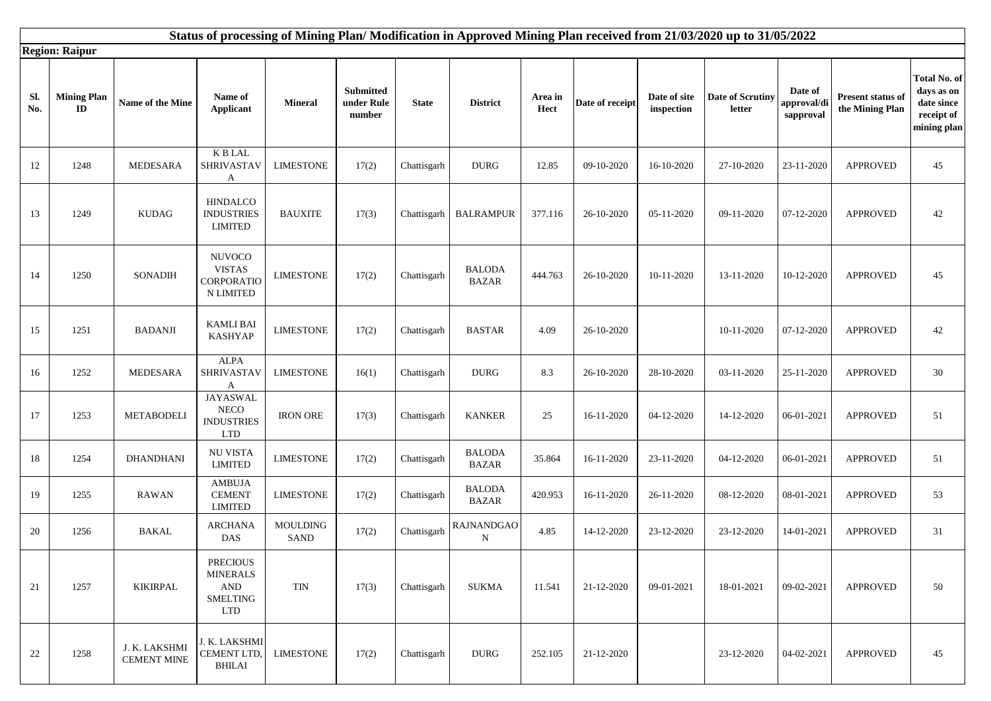|            | Status of processing of Mining Plan/Modification in Approved Mining Plan received from 21/03/2020 up to 31/05/2022 |                                     |                                                                                       |                  |                                   |              |                                  |                 |                 |                            |                                   |                                                    |                                      |                                                                       |
|------------|--------------------------------------------------------------------------------------------------------------------|-------------------------------------|---------------------------------------------------------------------------------------|------------------|-----------------------------------|--------------|----------------------------------|-----------------|-----------------|----------------------------|-----------------------------------|----------------------------------------------------|--------------------------------------|-----------------------------------------------------------------------|
|            | <b>Region: Raipur</b>                                                                                              |                                     |                                                                                       |                  |                                   |              |                                  |                 |                 |                            |                                   |                                                    |                                      |                                                                       |
| Sl.<br>No. | <b>Mining Plan</b><br>$\mathbf{ID}$                                                                                | Name of the Mine                    | Name of<br><b>Applicant</b>                                                           | <b>Mineral</b>   | Submitted<br>under Rule<br>number | <b>State</b> | <b>District</b>                  | Area in<br>Hect | Date of receipt | Date of site<br>inspection | <b>Date of Scrutiny</b><br>letter | Date of<br>approval/ <mark>d</mark> i<br>sapproval | Present status of<br>the Mining Plan | Total No. of<br>days as on<br>date since<br>receipt of<br>mining plan |
| 12         | 1248                                                                                                               | <b>MEDESARA</b>                     | $\mathbf K$ B LAL<br>SHRIVASTAV<br>A                                                  | <b>LIMESTONE</b> | 17(2)                             | Chattisgarh  | <b>DURG</b>                      | 12.85           | 09-10-2020      | 16-10-2020                 | 27-10-2020                        | 23-11-2020                                         | <b>APPROVED</b>                      | 45                                                                    |
| 13         | 1249                                                                                                               | <b>KUDAG</b>                        | <b>HINDALCO</b><br><b>INDUSTRIES</b><br><b>LIMITED</b>                                | <b>BAUXITE</b>   | 17(3)                             | Chattisgarh  | <b>BALRAMPUR</b>                 | 377.116         | 26-10-2020      | 05-11-2020                 | 09-11-2020                        | 07-12-2020                                         | <b>APPROVED</b>                      | 42                                                                    |
| 14         | 1250                                                                                                               | SONADIH                             | <b>NUVOCO</b><br><b>VISTAS</b><br><b>CORPORATIO</b><br>N LIMITED                      | <b>LIMESTONE</b> | 17(2)                             | Chattisgarh  | <b>BALODA</b><br><b>BAZAR</b>    | 444.763         | 26-10-2020      | 10-11-2020                 | 13-11-2020                        | 10-12-2020                                         | <b>APPROVED</b>                      | 45                                                                    |
| 15         | 1251                                                                                                               | <b>BADANJI</b>                      | <b>KAMLI BAI</b><br><b>KASHYAP</b>                                                    | <b>LIMESTONE</b> | 17(2)                             | Chattisgarh  | <b>BASTAR</b>                    | 4.09            | 26-10-2020      |                            | 10-11-2020                        | 07-12-2020                                         | <b>APPROVED</b>                      | 42                                                                    |
| 16         | 1252                                                                                                               | <b>MEDESARA</b>                     | <b>ALPA</b><br>SHRIVASTAV<br>A                                                        | <b>LIMESTONE</b> | 16(1)                             | Chattisgarh  | <b>DURG</b>                      | 8.3             | 26-10-2020      | 28-10-2020                 | 03-11-2020                        | 25-11-2020                                         | <b>APPROVED</b>                      | 30                                                                    |
| 17         | 1253                                                                                                               | <b>METABODELI</b>                   | <b>JAYASWAL</b><br><b>NECO</b><br><b>INDUSTRIES</b><br><b>LTD</b>                     | <b>IRON ORE</b>  | 17(3)                             | Chattisgarh  | <b>KANKER</b>                    | 25              | 16-11-2020      | 04-12-2020                 | 14-12-2020                        | 06-01-2021                                         | <b>APPROVED</b>                      | 51                                                                    |
| 18         | 1254                                                                                                               | <b>DHANDHANI</b>                    | NU VISTA<br><b>LIMITED</b>                                                            | <b>LIMESTONE</b> | 17(2)                             | Chattisgarh  | <b>BALODA</b><br><b>BAZAR</b>    | 35.864          | 16-11-2020      | 23-11-2020                 | 04-12-2020                        | 06-01-2021                                         | <b>APPROVED</b>                      | 51                                                                    |
| 19         | 1255                                                                                                               | RAWAN                               | <b>AMBUJA</b><br><b>CEMENT</b><br><b>LIMITED</b>                                      | <b>LIMESTONE</b> | 17(2)                             | Chattisgarh  | <b>BALODA</b><br>BAZAR           | 420.953         | 16-11-2020      | 26-11-2020                 | 08-12-2020                        | 08-01-2021                                         | <b>APPROVED</b>                      | 53                                                                    |
| 20         | 1256                                                                                                               | <b>BAKAL</b>                        | <b>ARCHANA</b><br>DAS                                                                 | MOULDING<br>SAND | 17(2)                             | Chattisgarh  | <b>RAJNANDGAO</b><br>$\mathbf N$ | 4.85            | 14-12-2020      | 23-12-2020                 | 23-12-2020                        | 14-01-2021                                         | <b>APPROVED</b>                      | 31                                                                    |
| 21         | 1257                                                                                                               | <b>KIKIRPAL</b>                     | <b>PRECIOUS</b><br><b>MINERALS</b><br>$\mathbf{AND}$<br><b>SMELTING</b><br><b>LTD</b> | TIN              | 17(3)                             | Chattisgarh  | <b>SUKMA</b>                     | 11.541          | 21-12-2020      | 09-01-2021                 | 18-01-2021                        | 09-02-2021                                         | <b>APPROVED</b>                      | 50                                                                    |
| 22         | 1258                                                                                                               | J. K. LAKSHMI<br><b>CEMENT MINE</b> | J. K. LAKSHMI<br>CEMENT LTD,<br><b>BHILAI</b>                                         | <b>LIMESTONE</b> | 17(2)                             | Chattisgarh  | <b>DURG</b>                      | 252.105         | 21-12-2020      |                            | 23-12-2020                        | 04-02-2021                                         | <b>APPROVED</b>                      | 45                                                                    |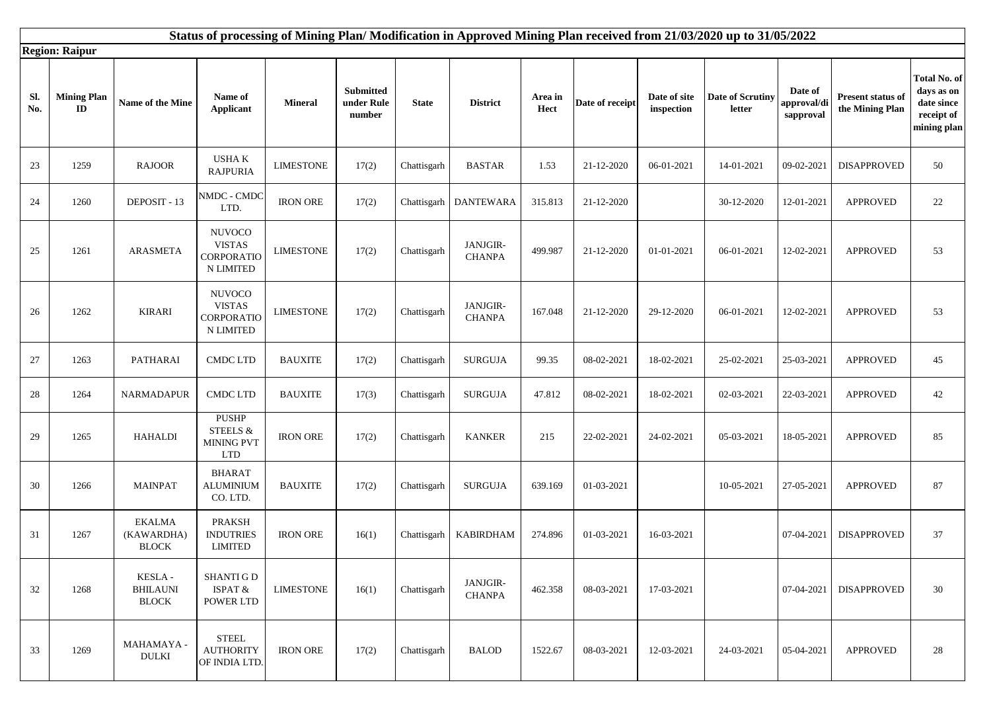|            | Status of processing of Mining Plan/Modification in Approved Mining Plan received from 21/03/2020 up to 31/05/2022<br><b>Region: Raipur</b> |                                             |                                                           |                  |                                   |              |                           |                 |                 |                            |                            |                                     |                                      |                                                                       |
|------------|---------------------------------------------------------------------------------------------------------------------------------------------|---------------------------------------------|-----------------------------------------------------------|------------------|-----------------------------------|--------------|---------------------------|-----------------|-----------------|----------------------------|----------------------------|-------------------------------------|--------------------------------------|-----------------------------------------------------------------------|
| Sl.<br>No. | <b>Mining Plan</b><br>$\mathbf{ID}$                                                                                                         | Name of the Mine                            | Name of<br><b>Applicant</b>                               | <b>Mineral</b>   | Submitted<br>under Rule<br>number | <b>State</b> | <b>District</b>           | Area in<br>Hect | Date of receipt | Date of site<br>inspection | Date of Scrutiny<br>letter | Date of<br>approval/di<br>sapproval | Present status of<br>the Mining Plan | Total No. of<br>days as on<br>date since<br>receipt of<br>mining plan |
| 23         | 1259                                                                                                                                        | <b>RAJOOR</b>                               | <b>USHAK</b><br><b>RAJPURIA</b>                           | <b>LIMESTONE</b> | 17(2)                             | Chattisgarh  | <b>BASTAR</b>             | 1.53            | 21-12-2020      | 06-01-2021                 | 14-01-2021                 | 09-02-2021                          | <b>DISAPPROVED</b>                   | 50                                                                    |
| 24         | 1260                                                                                                                                        | DEPOSIT - 13                                | NMDC - CMDC<br>LTD.                                       | <b>IRON ORE</b>  | 17(2)                             | Chattisgarh  | <b>DANTEWARA</b>          | 315.813         | 21-12-2020      |                            | 30-12-2020                 | 12-01-2021                          | <b>APPROVED</b>                      | 22                                                                    |
| 25         | 1261                                                                                                                                        | <b>ARASMETA</b>                             | <b>NUVOCO</b><br><b>VISTAS</b><br>CORPORATIO<br>N LIMITED | <b>LIMESTONE</b> | 17(2)                             | Chattisgarh  | JANJGIR-<br><b>CHANPA</b> | 499.987         | 21-12-2020      | 01-01-2021                 | 06-01-2021                 | 12-02-2021                          | <b>APPROVED</b>                      | 53                                                                    |
| 26         | 1262                                                                                                                                        | <b>KIRARI</b>                               | <b>NUVOCO</b><br><b>VISTAS</b><br>CORPORATIO<br>N LIMITED | <b>LIMESTONE</b> | 17(2)                             | Chattisgarh  | JANJGIR-<br><b>CHANPA</b> | 167.048         | 21-12-2020      | 29-12-2020                 | 06-01-2021                 | 12-02-2021                          | <b>APPROVED</b>                      | 53                                                                    |
| 27         | 1263                                                                                                                                        | PATHARAI                                    | <b>CMDC LTD</b>                                           | <b>BAUXITE</b>   | 17(2)                             | Chattisgarh  | <b>SURGUJA</b>            | 99.35           | 08-02-2021      | 18-02-2021                 | 25-02-2021                 | 25-03-2021                          | <b>APPROVED</b>                      | 45                                                                    |
| 28         | 1264                                                                                                                                        | NARMADAPUR                                  | <b>CMDC LTD</b>                                           | <b>BAUXITE</b>   | 17(3)                             | Chattisgarh  | <b>SURGUJA</b>            | 47.812          | 08-02-2021      | 18-02-2021                 | 02-03-2021                 | 22-03-2021                          | <b>APPROVED</b>                      | 42                                                                    |
| 29         | 1265                                                                                                                                        | <b>HAHALDI</b>                              | PUSHP<br>STEELS $\&$<br>MINING PVT<br><b>LTD</b>          | <b>IRON ORE</b>  | 17(2)                             | Chattisgarh  | <b>KANKER</b>             | 215             | 22-02-2021      | 24-02-2021                 | 05-03-2021                 | 18-05-2021                          | <b>APPROVED</b>                      | 85                                                                    |
| 30         | 1266                                                                                                                                        | <b>MAINPAT</b>                              | <b>BHARAT</b><br><b>ALUMINIUM</b><br>CO. LTD.             | <b>BAUXITE</b>   | 17(2)                             | Chattisgarh  | <b>SURGUJA</b>            | 639.169         | 01-03-2021      |                            | 10-05-2021                 | 27-05-2021                          | <b>APPROVED</b>                      | 87                                                                    |
| 31         | 1267                                                                                                                                        | <b>EKALMA</b><br>(KAWARDHA)<br><b>BLOCK</b> | <b>PRAKSH</b><br><b>INDUTRIES</b><br><b>LIMITED</b>       | <b>IRON ORE</b>  | 16(1)                             | Chattisgarh  | <b>KABIRDHAM</b>          | 274.896         | 01-03-2021      | 16-03-2021                 |                            | 07-04-2021                          | <b>DISAPPROVED</b>                   | 37                                                                    |
| 32         | 1268                                                                                                                                        | KESLA -<br><b>BHILAUNI</b><br><b>BLOCK</b>  | <b>SHANTI G D</b><br>ISPAT &<br><b>POWER LTD</b>          | <b>LIMESTONE</b> | 16(1)                             | Chattisgarh  | JANJGIR-<br><b>CHANPA</b> | 462.358         | 08-03-2021      | 17-03-2021                 |                            | 07-04-2021                          | <b>DISAPPROVED</b>                   | 30                                                                    |
| 33         | 1269                                                                                                                                        | MAHAMAYA -<br><b>DULKI</b>                  | <b>STEEL</b><br><b>AUTHORITY</b><br>OF INDIA LTD.         | <b>IRON ORE</b>  | 17(2)                             | Chattisgarh  | <b>BALOD</b>              | 1522.67         | 08-03-2021      | 12-03-2021                 | 24-03-2021                 | 05-04-2021                          | <b>APPROVED</b>                      | 28                                                                    |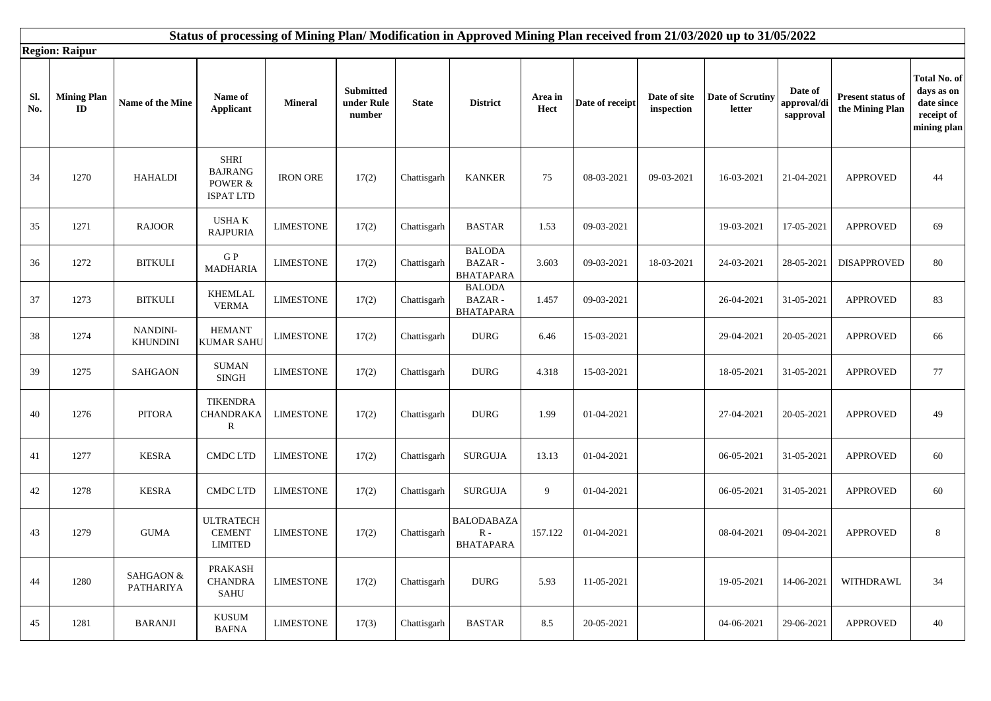| Status of processing of Mining Plan/Modification in Approved Mining Plan received from 21/03/2020 up to 31/05/2022<br><b>Region: Raipur</b> |                                  |                           |                                                                 |                  |                                   |              |                                                      |                 |                 |                            |                            |                                     |                                      |                                                                       |
|---------------------------------------------------------------------------------------------------------------------------------------------|----------------------------------|---------------------------|-----------------------------------------------------------------|------------------|-----------------------------------|--------------|------------------------------------------------------|-----------------|-----------------|----------------------------|----------------------------|-------------------------------------|--------------------------------------|-----------------------------------------------------------------------|
| Sl.<br>No.                                                                                                                                  | <b>Mining Plan</b><br>${\bf ID}$ | Name of the Mine          | Name of<br><b>Applicant</b>                                     | <b>Mineral</b>   | Submitted<br>under Rule<br>number | <b>State</b> | <b>District</b>                                      | Area in<br>Hect | Date of receipt | Date of site<br>inspection | Date of Scrutiny<br>letter | Date of<br>approval/di<br>sapproval | Present status of<br>the Mining Plan | Total No. of<br>days as on<br>date since<br>receipt of<br>mining plan |
| 34                                                                                                                                          | 1270                             | <b>HAHALDI</b>            | <b>SHRI</b><br><b>BAJRANG</b><br>POWER $\&$<br><b>ISPAT LTD</b> | <b>IRON ORE</b>  | 17(2)                             | Chattisgarh  | <b>KANKER</b>                                        | 75              | 08-03-2021      | 09-03-2021                 | 16-03-2021                 | 21-04-2021                          | <b>APPROVED</b>                      | 44                                                                    |
| 35                                                                                                                                          | 1271                             | <b>RAJOOR</b>             | USHA K<br><b>RAJPURIA</b>                                       | <b>LIMESTONE</b> | 17(2)                             | Chattisgarh  | <b>BASTAR</b>                                        | 1.53            | 09-03-2021      |                            | 19-03-2021                 | 17-05-2021                          | <b>APPROVED</b>                      | 69                                                                    |
| 36                                                                                                                                          | 1272                             | <b>BITKULI</b>            | ${\bf G}$ P<br><b>MADHARIA</b>                                  | <b>LIMESTONE</b> | 17(2)                             | Chattisgarh  | <b>BALODA</b><br>BAZAR -<br><b>BHATAPARA</b>         | 3.603           | 09-03-2021      | 18-03-2021                 | 24-03-2021                 | 28-05-2021                          | <b>DISAPPROVED</b>                   | 80                                                                    |
| 37                                                                                                                                          | 1273                             | $\operatorname{BITKULI}$  | <b>KHEMLAL</b><br><b>VERMA</b>                                  | <b>LIMESTONE</b> | 17(2)                             | Chattisgarh  | <b>BALODA</b><br>BAZAR -<br><b>BHATAPARA</b>         | 1.457           | 09-03-2021      |                            | 26-04-2021                 | 31-05-2021                          | <b>APPROVED</b>                      | 83                                                                    |
| 38                                                                                                                                          | 1274                             | NANDINI-<br>KHUNDINI      | <b>HEMANT</b><br><b>KUMAR SAHU</b>                              | <b>LIMESTONE</b> | 17(2)                             | Chattisgarh  | <b>DURG</b>                                          | 6.46            | 15-03-2021      |                            | 29-04-2021                 | 20-05-2021                          | <b>APPROVED</b>                      | 66                                                                    |
| 39                                                                                                                                          | 1275                             | <b>SAHGAON</b>            | <b>SUMAN</b><br>SINGH                                           | <b>LIMESTONE</b> | 17(2)                             | Chattisgarh  | $\rm DURG$                                           | 4.318           | 15-03-2021      |                            | 18-05-2021                 | 31-05-2021                          | <b>APPROVED</b>                      | 77                                                                    |
| 40                                                                                                                                          | 1276                             | <b>PITORA</b>             | <b>TIKENDRA</b><br>CHANDRAKA<br>R                               | <b>LIMESTONE</b> | 17(2)                             | Chattisgarh  | <b>DURG</b>                                          | 1.99            | 01-04-2021      |                            | 27-04-2021                 | 20-05-2021                          | <b>APPROVED</b>                      | 49                                                                    |
| 41                                                                                                                                          | 1277                             | <b>KESRA</b>              | <b>CMDC LTD</b>                                                 | <b>LIMESTONE</b> | 17(2)                             | Chattisgarh  | <b>SURGUJA</b>                                       | 13.13           | 01-04-2021      |                            | 06-05-2021                 | 31-05-2021                          | <b>APPROVED</b>                      | 60                                                                    |
| 42                                                                                                                                          | 1278                             | <b>KESRA</b>              | <b>CMDC LTD</b>                                                 | <b>LIMESTONE</b> | 17(2)                             | Chattisgarh  | <b>SURGUJA</b>                                       | 9               | 01-04-2021      |                            | 06-05-2021                 | 31-05-2021                          | <b>APPROVED</b>                      | 60                                                                    |
| 43                                                                                                                                          | 1279                             | <b>GUMA</b>               | <b>ULTRATECH</b><br><b>CEMENT</b><br><b>LIMITED</b>             | <b>LIMESTONE</b> | 17(2)                             | Chattisgarh  | <b>BALODABAZA</b><br>${\bf R}$ -<br><b>BHATAPARA</b> | 157.122         | 01-04-2021      |                            | 08-04-2021                 | 09-04-2021                          | <b>APPROVED</b>                      | 8                                                                     |
| 44                                                                                                                                          | 1280                             | SAHGAON $\&$<br>PATHARIYA | <b>PRAKASH</b><br><b>CHANDRA</b><br>SAHU                        | <b>LIMESTONE</b> | 17(2)                             | Chattisgarh  | <b>DURG</b>                                          | 5.93            | 11-05-2021      |                            | 19-05-2021                 | 14-06-2021                          | WITHDRAWL                            | 34                                                                    |
| 45                                                                                                                                          | 1281                             | <b>BARANJI</b>            | <b>KUSUM</b><br>$\ensuremath{\mathsf{BAFNA}}$                   | <b>LIMESTONE</b> | 17(3)                             | Chattisgarh  | <b>BASTAR</b>                                        | 8.5             | 20-05-2021      |                            | 04-06-2021                 | 29-06-2021                          | <b>APPROVED</b>                      | 40                                                                    |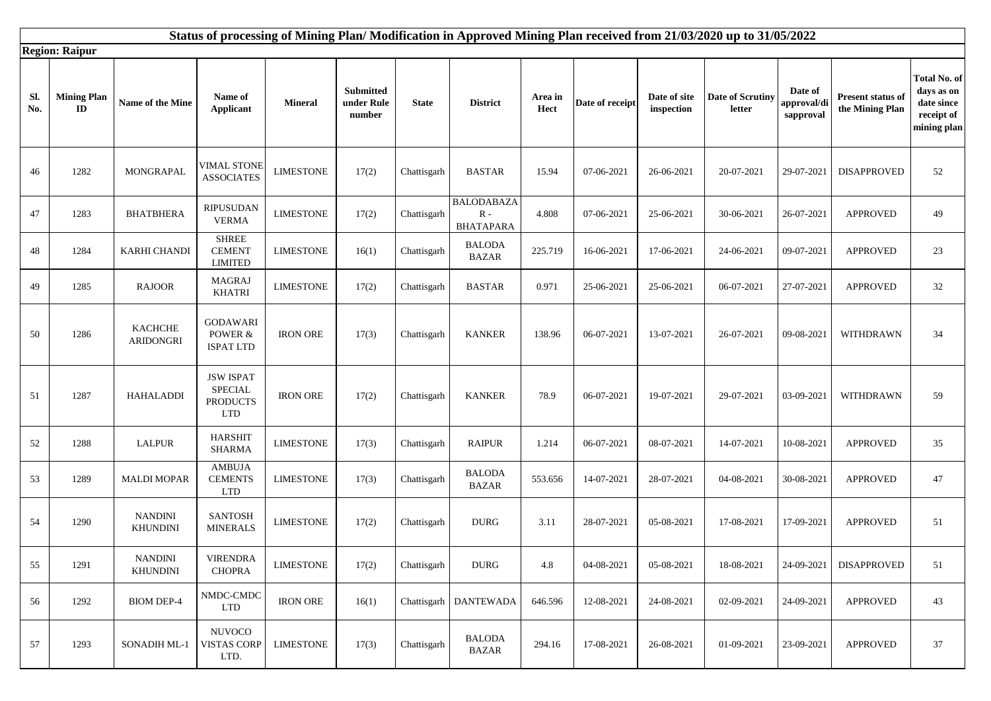|            | Status of processing of Mining Plan/Modification in Approved Mining Plan received from 21/03/2020 up to 31/05/2022 |                                    |                                                                     |                  |                                   |              |                                                        |                 |                 |                            |                            |                                     |                                      |                                                                               |
|------------|--------------------------------------------------------------------------------------------------------------------|------------------------------------|---------------------------------------------------------------------|------------------|-----------------------------------|--------------|--------------------------------------------------------|-----------------|-----------------|----------------------------|----------------------------|-------------------------------------|--------------------------------------|-------------------------------------------------------------------------------|
|            | <b>Region: Raipur</b>                                                                                              |                                    |                                                                     |                  |                                   |              |                                                        |                 |                 |                            |                            |                                     |                                      |                                                                               |
| Sl.<br>No. | <b>Mining Plan</b><br>$\mathbf{ID}$                                                                                | Name of the Mine                   | Name of<br><b>Applicant</b>                                         | <b>Mineral</b>   | Submitted<br>under Rule<br>number | <b>State</b> | <b>District</b>                                        | Area in<br>Hect | Date of receipt | Date of site<br>inspection | Date of Scrutiny<br>letter | Date of<br>approval/di<br>sapproval | Present status of<br>the Mining Plan | Total No. of<br>days as on<br>${\rm date}$ since<br>receipt of<br>mining plan |
| 46         | 1282                                                                                                               | MONGRAPAL                          | <b>VIMAL STONE</b><br><b>ASSOCIATES</b>                             | <b>LIMESTONE</b> | 17(2)                             | Chattisgarh  | <b>BASTAR</b>                                          | 15.94           | 07-06-2021      | 26-06-2021                 | 20-07-2021                 | 29-07-2021                          | <b>DISAPPROVED</b>                   | 52                                                                            |
| 47         | 1283                                                                                                               | <b>BHATBHERA</b>                   | <b>RIPUSUDAN</b><br><b>VERMA</b>                                    | <b>LIMESTONE</b> | 17(2)                             | Chattisgarh  | <b>BALODABAZA</b><br>$\mathbf R$ -<br><b>BHATAPARA</b> | 4.808           | 07-06-2021      | 25-06-2021                 | 30-06-2021                 | 26-07-2021                          | <b>APPROVED</b>                      | 49                                                                            |
| 48         | 1284                                                                                                               | <b>KARHI CHANDI</b>                | <b>SHREE</b><br><b>CEMENT</b><br><b>LIMITED</b>                     | <b>LIMESTONE</b> | 16(1)                             | Chattisgarh  | <b>BALODA</b><br><b>BAZAR</b>                          | 225.719         | 16-06-2021      | 17-06-2021                 | 24-06-2021                 | 09-07-2021                          | <b>APPROVED</b>                      | 23                                                                            |
| 49         | 1285                                                                                                               | <b>RAJOOR</b>                      | <b>MAGRAJ</b><br><b>KHATRI</b>                                      | <b>LIMESTONE</b> | 17(2)                             | Chattisgarh  | <b>BASTAR</b>                                          | 0.971           | 25-06-2021      | 25-06-2021                 | 06-07-2021                 | 27-07-2021                          | <b>APPROVED</b>                      | 32                                                                            |
| 50         | 1286                                                                                                               | <b>KACHCHE</b><br><b>ARIDONGRI</b> | <b>GODAWARI</b><br>POWER &<br><b>ISPAT LTD</b>                      | <b>IRON ORE</b>  | 17(3)                             | Chattisgarh  | <b>KANKER</b>                                          | 138.96          | 06-07-2021      | 13-07-2021                 | 26-07-2021                 | 09-08-2021                          | WITHDRAWN                            | 34                                                                            |
| 51         | 1287                                                                                                               | <b>HAHALADDI</b>                   | <b>JSW ISPAT</b><br><b>SPECIAL</b><br><b>PRODUCTS</b><br><b>LTD</b> | <b>IRON ORE</b>  | 17(2)                             | Chattisgarh  | <b>KANKER</b>                                          | 78.9            | 06-07-2021      | 19-07-2021                 | 29-07-2021                 | 03-09-2021                          | <b>WITHDRAWN</b>                     | 59                                                                            |
| 52         | 1288                                                                                                               | <b>LALPUR</b>                      | <b>HARSHIT</b><br><b>SHARMA</b>                                     | <b>LIMESTONE</b> | 17(3)                             | Chattisgarh  | <b>RAIPUR</b>                                          | 1.214           | 06-07-2021      | 08-07-2021                 | 14-07-2021                 | 10-08-2021                          | <b>APPROVED</b>                      | 35                                                                            |
| 53         | 1289                                                                                                               | <b>MALDI MOPAR</b>                 | <b>AMBUJA</b><br><b>CEMENTS</b><br><b>LTD</b>                       | <b>LIMESTONE</b> | 17(3)                             | Chattisgarh  | <b>BALODA</b><br><b>BAZAR</b>                          | 553.656         | 14-07-2021      | 28-07-2021                 | 04-08-2021                 | 30-08-2021                          | <b>APPROVED</b>                      | 47                                                                            |
| 54         | 1290                                                                                                               | <b>NANDINI</b><br><b>KHUNDINI</b>  | <b>SANTOSH</b><br><b>MINERALS</b>                                   | <b>LIMESTONE</b> | 17(2)                             | Chattisgarh  | <b>DURG</b>                                            | 3.11            | 28-07-2021      | 05-08-2021                 | 17-08-2021                 | 17-09-2021                          | <b>APPROVED</b>                      | 51                                                                            |
| 55         | 1291                                                                                                               | <b>NANDINI</b><br><b>KHUNDINI</b>  | <b>VIRENDRA</b><br><b>CHOPRA</b>                                    | <b>LIMESTONE</b> | 17(2)                             | Chattisgarh  | <b>DURG</b>                                            | 4.8             | 04-08-2021      | 05-08-2021                 | 18-08-2021                 | 24-09-2021                          | <b>DISAPPROVED</b>                   | 51                                                                            |
| 56         | 1292                                                                                                               | <b>BIOM DEP-4</b>                  | NMDC-CMDC<br><b>LTD</b>                                             | <b>IRON ORE</b>  | 16(1)                             |              | Chattisgarh   DANTEWADA                                | 646.596         | 12-08-2021      | 24-08-2021                 | 02-09-2021                 | 24-09-2021                          | <b>APPROVED</b>                      | 43                                                                            |
| 57         | 1293                                                                                                               | SONADIH ML-1                       | <b>NUVOCO</b><br><b>VISTAS CORP</b><br>LTD.                         | <b>LIMESTONE</b> | 17(3)                             | Chattisgarh  | <b>BALODA</b><br><b>BAZAR</b>                          | 294.16          | 17-08-2021      | 26-08-2021                 | 01-09-2021                 | 23-09-2021                          | <b>APPROVED</b>                      | 37                                                                            |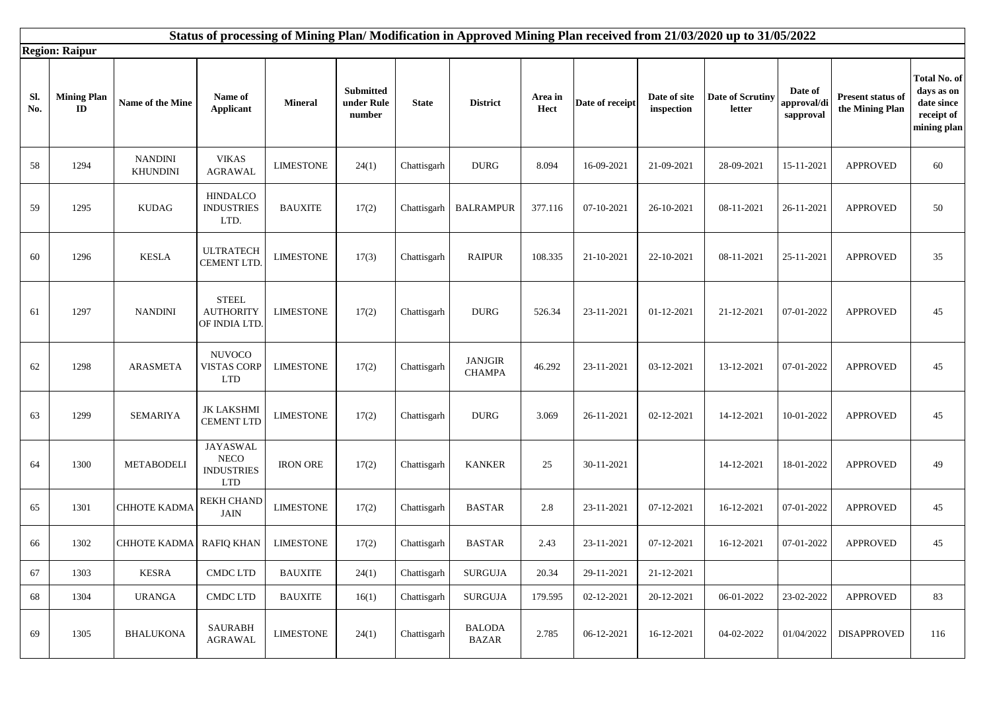|            | Status of processing of Mining Plan/Modification in Approved Mining Plan received from 21/03/2020 up to 31/05/2022 |                                   |                                                                   |                  |                                   |              |                                 |                 |                 |                             |                            |                                     |                                      |                                                                       |
|------------|--------------------------------------------------------------------------------------------------------------------|-----------------------------------|-------------------------------------------------------------------|------------------|-----------------------------------|--------------|---------------------------------|-----------------|-----------------|-----------------------------|----------------------------|-------------------------------------|--------------------------------------|-----------------------------------------------------------------------|
|            | <b>Region: Raipur</b>                                                                                              |                                   |                                                                   |                  |                                   |              |                                 |                 |                 |                             |                            |                                     |                                      |                                                                       |
| Sl.<br>No. | <b>Mining Plan</b><br>$\mathbf{ID}$                                                                                | Name of the Mine                  | Name of<br><b>Applicant</b>                                       | <b>Mineral</b>   | Submitted<br>under Rule<br>number | <b>State</b> | <b>District</b>                 | Area in<br>Hect | Date of receipt | Date of site<br>$\bold{in}$ | Date of Scrutiny<br>letter | Date of<br>approval/di<br>sapproval | Present status of<br>the Mining Plan | Total No. of<br>days as on<br>date since<br>receipt of<br>mining plan |
| 58         | 1294                                                                                                               | <b>NANDINI</b><br><b>KHUNDINI</b> | <b>VIKAS</b><br><b>AGRAWAL</b>                                    | <b>LIMESTONE</b> | 24(1)                             | Chattisgarh  | <b>DURG</b>                     | 8.094           | 16-09-2021      | 21-09-2021                  | 28-09-2021                 | 15-11-2021                          | <b>APPROVED</b>                      | 60                                                                    |
| 59         | 1295                                                                                                               | <b>KUDAG</b>                      | <b>HINDALCO</b><br><b>INDUSTRIES</b><br>LTD.                      | <b>BAUXITE</b>   | 17(2)                             | Chattisgarh  | <b>BALRAMPUR</b>                | 377.116         | 07-10-2021      | 26-10-2021                  | 08-11-2021                 | 26-11-2021                          | <b>APPROVED</b>                      | 50                                                                    |
| 60         | 1296                                                                                                               | <b>KESLA</b>                      | <b>ULTRATECH</b><br>CEMENT LTD.                                   | <b>LIMESTONE</b> | 17(3)                             | Chattisgarh  | <b>RAIPUR</b>                   | 108.335         | 21-10-2021      | 22-10-2021                  | 08-11-2021                 | 25-11-2021                          | <b>APPROVED</b>                      | 35                                                                    |
| 61         | 1297                                                                                                               | <b>NANDINI</b>                    | <b>STEEL</b><br><b>AUTHORITY</b><br>OF INDIA LTD.                 | <b>LIMESTONE</b> | 17(2)                             | Chattisgarh  | <b>DURG</b>                     | 526.34          | 23-11-2021      | 01-12-2021                  | 21-12-2021                 | 07-01-2022                          | <b>APPROVED</b>                      | 45                                                                    |
| 62         | 1298                                                                                                               | <b>ARASMETA</b>                   | <b>NUVOCO</b><br><b>VISTAS CORP</b><br><b>LTD</b>                 | <b>LIMESTONE</b> | 17(2)                             | Chattisgarh  | <b>JANJGIR</b><br><b>CHAMPA</b> | 46.292          | 23-11-2021      | 03-12-2021                  | 13-12-2021                 | 07-01-2022                          | <b>APPROVED</b>                      | 45                                                                    |
| 63         | 1299                                                                                                               | <b>SEMARIYA</b>                   | <b>JK LAKSHMI</b><br><b>CEMENT LTD</b>                            | <b>LIMESTONE</b> | 17(2)                             | Chattisgarh  | <b>DURG</b>                     | 3.069           | 26-11-2021      | 02-12-2021                  | 14-12-2021                 | 10-01-2022                          | <b>APPROVED</b>                      | 45                                                                    |
| 64         | 1300                                                                                                               | <b>METABODELI</b>                 | <b>JAYASWAL</b><br><b>NECO</b><br><b>INDUSTRIES</b><br><b>LTD</b> | <b>IRON ORE</b>  | 17(2)                             | Chattisgarh  | <b>KANKER</b>                   | 25              | 30-11-2021      |                             | 14-12-2021                 | 18-01-2022                          | <b>APPROVED</b>                      | 49                                                                    |
| 65         | 1301                                                                                                               | СННОТЕ КАDМА                      | <b>REKH CHAND</b><br><b>JAIN</b>                                  | <b>LIMESTONE</b> | 17(2)                             | Chattisgarh  | <b>BASTAR</b>                   | 2.8             | 23-11-2021      | 07-12-2021                  | 16-12-2021                 | 07-01-2022                          | <b>APPROVED</b>                      | 45                                                                    |
| 66         | 1302                                                                                                               | <b>CHHOTE KADMA</b>               | <b>RAFIQ KHAN</b>                                                 | <b>LIMESTONE</b> | 17(2)                             | Chattisgarh  | <b>BASTAR</b>                   | 2.43            | 23-11-2021      | 07-12-2021                  | 16-12-2021                 | 07-01-2022                          | <b>APPROVED</b>                      | 45                                                                    |
| 67         | 1303                                                                                                               | <b>KESRA</b>                      | CMDC LTD                                                          | <b>BAUXITE</b>   | 24(1)                             | Chattisgarh  | <b>SURGUJA</b>                  | 20.34           | 29-11-2021      | 21-12-2021                  |                            |                                     |                                      |                                                                       |
| 68         | 1304                                                                                                               | <b>URANGA</b>                     | <b>CMDC LTD</b>                                                   | <b>BAUXITE</b>   | 16(1)                             | Chattisgarh  | <b>SURGUJA</b>                  | 179.595         | 02-12-2021      | 20-12-2021                  | 06-01-2022                 | 23-02-2022                          | <b>APPROVED</b>                      | 83                                                                    |
| 69         | 1305                                                                                                               | <b>BHALUKONA</b>                  | <b>SAURABH</b><br><b>AGRAWAL</b>                                  | <b>LIMESTONE</b> | 24(1)                             | Chattisgarh  | <b>BALODA</b><br><b>BAZAR</b>   | 2.785           | 06-12-2021      | 16-12-2021                  | 04-02-2022                 | 01/04/2022                          | <b>DISAPPROVED</b>                   | 116                                                                   |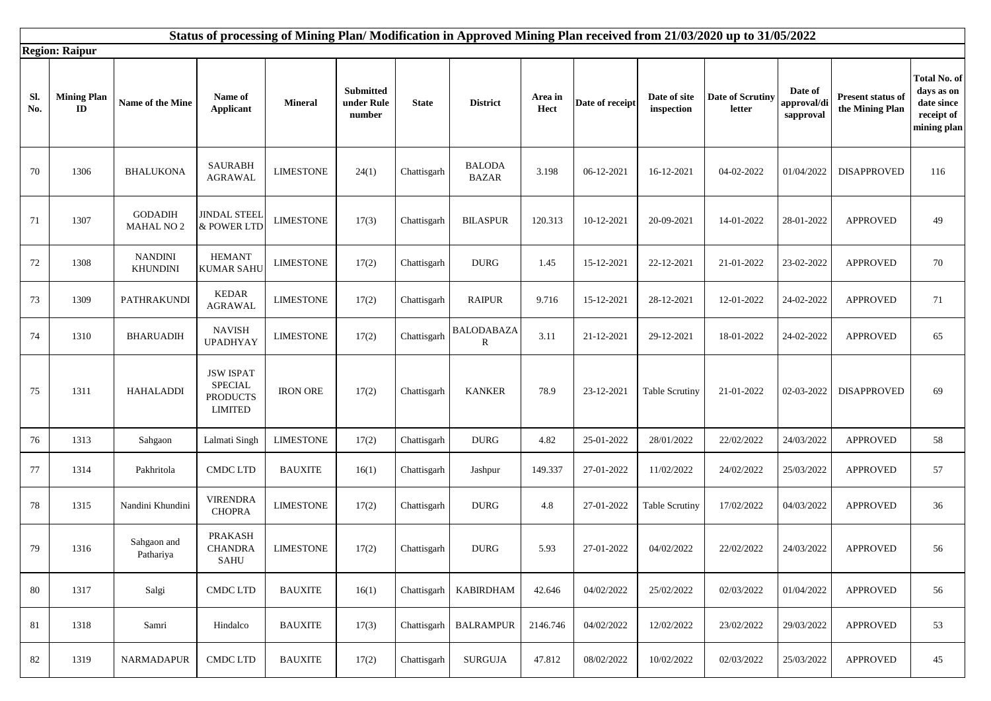|            | Status of processing of Mining Plan/Modification in Approved Mining Plan received from 21/03/2020 up to 31/05/2022 |                                     |                                                                         |                  |                                          |              |                               |                 |                 |                            |                            |                                                    |                                             |                                                                       |
|------------|--------------------------------------------------------------------------------------------------------------------|-------------------------------------|-------------------------------------------------------------------------|------------------|------------------------------------------|--------------|-------------------------------|-----------------|-----------------|----------------------------|----------------------------|----------------------------------------------------|---------------------------------------------|-----------------------------------------------------------------------|
|            | <b>Region: Raipur</b>                                                                                              |                                     |                                                                         |                  |                                          |              |                               |                 |                 |                            |                            |                                                    |                                             |                                                                       |
| Sl.<br>No. | <b>Mining Plan</b><br>ID                                                                                           | <b>Name of the Mine</b>             | Name of<br><b>Applicant</b>                                             | <b>Mineral</b>   | <b>Submitted</b><br>under Rule<br>number | <b>State</b> | <b>District</b>               | Area in<br>Hect | Date of receipt | Date of site<br>inspection | Date of Scrutiny<br>letter | Date of<br>approval/ <mark>d</mark> i<br>sapproval | <b>Present status of</b><br>the Mining Plan | Total No. of<br>days as on<br>date since<br>receipt of<br>mining plan |
| 70         | 1306                                                                                                               | <b>BHALUKONA</b>                    | <b>SAURABH</b><br>AGRAWAL                                               | <b>LIMESTONE</b> | 24(1)                                    | Chattisgarh  | <b>BALODA</b><br><b>BAZAR</b> | 3.198           | 06-12-2021      | 16-12-2021                 | 04-02-2022                 | 01/04/2022                                         | <b>DISAPPROVED</b>                          | 116                                                                   |
| 71         | 1307                                                                                                               | <b>GODADIH</b><br><b>MAHAL NO 2</b> | <b>JINDAL STEEI</b><br>& POWER LTD                                      | <b>LIMESTONE</b> | 17(3)                                    | Chattisgarh  | <b>BILASPUR</b>               | 120.313         | 10-12-2021      | 20-09-2021                 | 14-01-2022                 | 28-01-2022                                         | <b>APPROVED</b>                             | 49                                                                    |
| 72         | 1308                                                                                                               | <b>NANDINI</b><br><b>KHUNDINI</b>   | <b>HEMANT</b><br><b>KUMAR SAHU</b>                                      | <b>LIMESTONE</b> | 17(2)                                    | Chattisgarh  | <b>DURG</b>                   | 1.45            | 15-12-2021      | 22-12-2021                 | 21-01-2022                 | 23-02-2022                                         | <b>APPROVED</b>                             | 70                                                                    |
| 73         | 1309                                                                                                               | <b>PATHRAKUNDI</b>                  | <b>KEDAR</b><br>${\bf AGRAWAL}$                                         | <b>LIMESTONE</b> | 17(2)                                    | Chattisgarh  | <b>RAIPUR</b>                 | 9.716           | 15-12-2021      | 28-12-2021                 | 12-01-2022                 | 24-02-2022                                         | <b>APPROVED</b>                             | 71                                                                    |
| 74         | 1310                                                                                                               | <b>BHARUADIH</b>                    | <b>NAVISH</b><br><b>UPADHYAY</b>                                        | <b>LIMESTONE</b> | 17(2)                                    | Chattisgarh  | <b>BALODABAZA</b><br>R        | 3.11            | 21-12-2021      | 29-12-2021                 | 18-01-2022                 | 24-02-2022                                         | <b>APPROVED</b>                             | 65                                                                    |
| 75         | 1311                                                                                                               | <b>HAHALADDI</b>                    | <b>JSW ISPAT</b><br><b>SPECIAL</b><br><b>PRODUCTS</b><br><b>LIMITED</b> | <b>IRON ORE</b>  | 17(2)                                    | Chattisgarh  | <b>KANKER</b>                 | 78.9            | 23-12-2021      | <b>Table Scrutiny</b>      | 21-01-2022                 | 02-03-2022                                         | <b>DISAPPROVED</b>                          | 69                                                                    |
| 76         | 1313                                                                                                               | Sahgaon                             | Lalmati Singh                                                           | <b>LIMESTONE</b> | 17(2)                                    | Chattisgarh  | <b>DURG</b>                   | 4.82            | 25-01-2022      | 28/01/2022                 | 22/02/2022                 | 24/03/2022                                         | <b>APPROVED</b>                             | 58                                                                    |
| 77         | 1314                                                                                                               | Pakhritola                          | <b>CMDC LTD</b>                                                         | <b>BAUXITE</b>   | 16(1)                                    | Chattisgarh  | Jashpur                       | 149.337         | 27-01-2022      | 11/02/2022                 | 24/02/2022                 | 25/03/2022                                         | <b>APPROVED</b>                             | 57                                                                    |
| 78         | 1315                                                                                                               | Nandini Khundini                    | <b>VIRENDRA</b><br><b>CHOPRA</b>                                        | <b>LIMESTONE</b> | 17(2)                                    | Chattisgarh  | <b>DURG</b>                   | 4.8             | 27-01-2022      | <b>Table Scrutiny</b>      | 17/02/2022                 | 04/03/2022                                         | <b>APPROVED</b>                             | 36                                                                    |
| 79         | 1316                                                                                                               | Sahgaon and<br>Pathariya            | PRAKASH<br><b>CHANDRA</b><br>SAHU                                       | <b>LIMESTONE</b> | 17(2)                                    | Chattisgarh  | <b>DURG</b>                   | 5.93            | 27-01-2022      | 04/02/2022                 | 22/02/2022                 | 24/03/2022                                         | <b>APPROVED</b>                             | 56                                                                    |
| 80         | 1317                                                                                                               | Salgi                               | <b>CMDC LTD</b>                                                         | <b>BAUXITE</b>   | 16(1)                                    | Chattisgarh  | <b>KABIRDHAM</b>              | 42.646          | 04/02/2022      | 25/02/2022                 | 02/03/2022                 | 01/04/2022                                         | <b>APPROVED</b>                             | 56                                                                    |
| 81         | 1318                                                                                                               | Samri                               | Hindalco                                                                | <b>BAUXITE</b>   | 17(3)                                    | Chattisgarh  | <b>BALRAMPUR</b>              | 2146.746        | 04/02/2022      | 12/02/2022                 | 23/02/2022                 | 29/03/2022                                         | <b>APPROVED</b>                             | 53                                                                    |
| 82         | 1319                                                                                                               | NARMADAPUR                          | <b>CMDC LTD</b>                                                         | <b>BAUXITE</b>   | 17(2)                                    | Chattisgarh  | <b>SURGUJA</b>                | 47.812          | 08/02/2022      | 10/02/2022                 | 02/03/2022                 | 25/03/2022                                         | <b>APPROVED</b>                             | 45                                                                    |